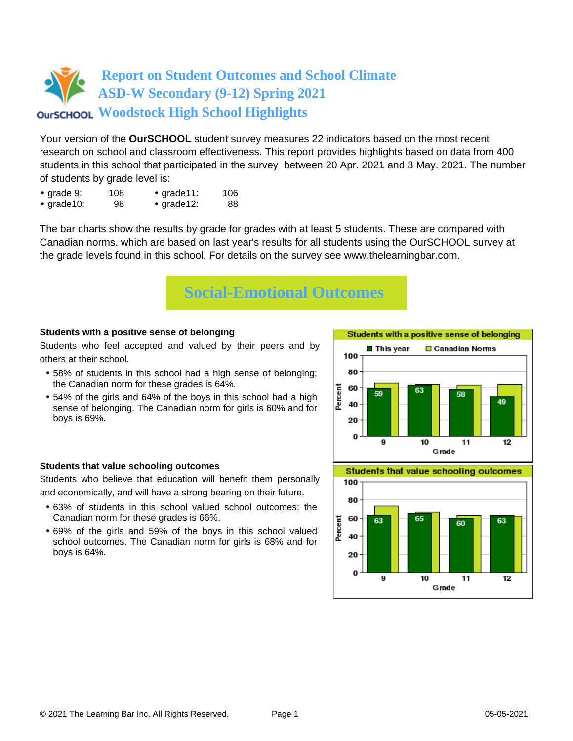

Your version of the **OurSCHOOL** student survey measures 22 indicators based on the most recent research on school and classroom effectiveness. This report provides highlights based on data from 400 students in this school that participated in the survey between 20 Apr. 2021 and 3 May. 2021. The number of students by grade level is:

- grade 9: 108 grade11: 106
- grade10: 98 grade12: 88

The bar charts show the results by grade for grades with at least 5 students. These are compared with Canadian norms, which are based on last year's results for all students using the OurSCHOOL survey at the grade levels found in this school. For details on the survey see [www.thelearningbar.com.](www.thelearningbar.com)



### **Students with a positive sense of belonging**

Students who feel accepted and valued by their peers and by others at their school.

- 58% of students in this school had a high sense of belonging; the Canadian norm for these grades is 64%.
- 54% of the girls and 64% of the boys in this school had a high sense of belonging. The Canadian norm for girls is 60% and for boys is 69%.

#### 80 60 59 49 40 20  $\Omega$ 9 10 11  $12$ Grade **Students that value schooling outcomes**

Students with a positive sense of belonging

**□** Canadian Norms

 $\blacksquare$  This vear

100

Percent



### **Students that value schooling outcomes**

Students who believe that education will benefit them personally and economically, and will have a strong bearing on their future.

- 63% of students in this school valued school outcomes; the Canadian norm for these grades is 66%.
- 69% of the girls and 59% of the boys in this school valued school outcomes. The Canadian norm for girls is 68% and for boys is 64%.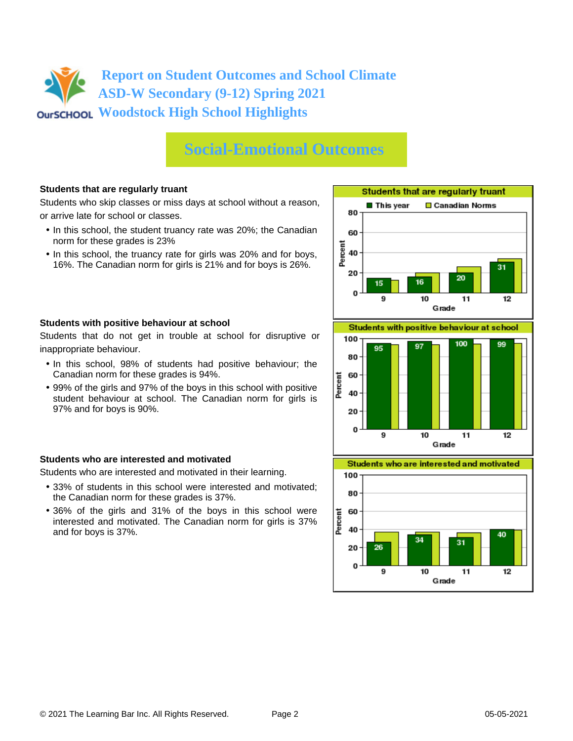## **Social-Emotional Outcomes**

### **Students that are regularly truant**

Students who skip classes or miss days at school without a reason, or arrive late for school or classes.

- In this school, the student truancy rate was 20%; the Canadian norm for these grades is 23%
- In this school, the truancy rate for girls was 20% and for boys, 16%. The Canadian norm for girls is 21% and for boys is 26%.



Students that do not get in trouble at school for disruptive or inappropriate behaviour.

- In this school, 98% of students had positive behaviour; the Canadian norm for these grades is 94%.
- 99% of the girls and 97% of the boys in this school with positive student behaviour at school. The Canadian norm for girls is 97% and for boys is 90%.

### **Students who are interested and motivated**

Students who are interested and motivated in their learning.

- 33% of students in this school were interested and motivated; the Canadian norm for these grades is 37%.
- 36% of the girls and 31% of the boys in this school were interested and motivated. The Canadian norm for girls is 37% and for boys is 37%.





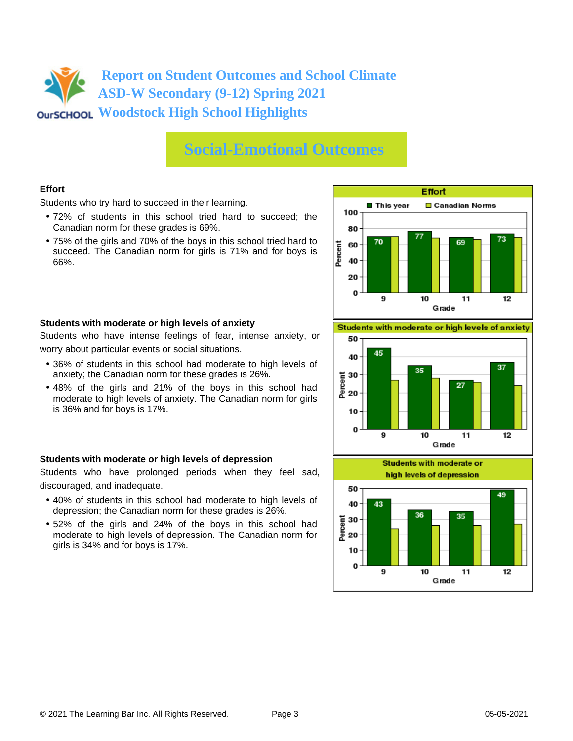### **Social-Emotional Outcomes**

### **Effort**

Students who try hard to succeed in their learning.

- 72% of students in this school tried hard to succeed; the Canadian norm for these grades is 69%.
- 75% of the girls and 70% of the boys in this school tried hard to succeed. The Canadian norm for girls is 71% and for boys is 66%.



### **Students with moderate or high levels of anxiety**

Students who have intense feelings of fear, intense anxiety, or worry about particular events or social situations.

- 36% of students in this school had moderate to high levels of anxiety; the Canadian norm for these grades is 26%.
- 48% of the girls and 21% of the boys in this school had moderate to high levels of anxiety. The Canadian norm for girls is 36% and for boys is 17%.

### **Students with moderate or high levels of depression**

Students who have prolonged periods when they feel sad, discouraged, and inadequate.

- 40% of students in this school had moderate to high levels of depression; the Canadian norm for these grades is 26%.
- 52% of the girls and 24% of the boys in this school had moderate to high levels of depression. The Canadian norm for girls is 34% and for boys is 17%.

Students with moderate or high levels of anxiety



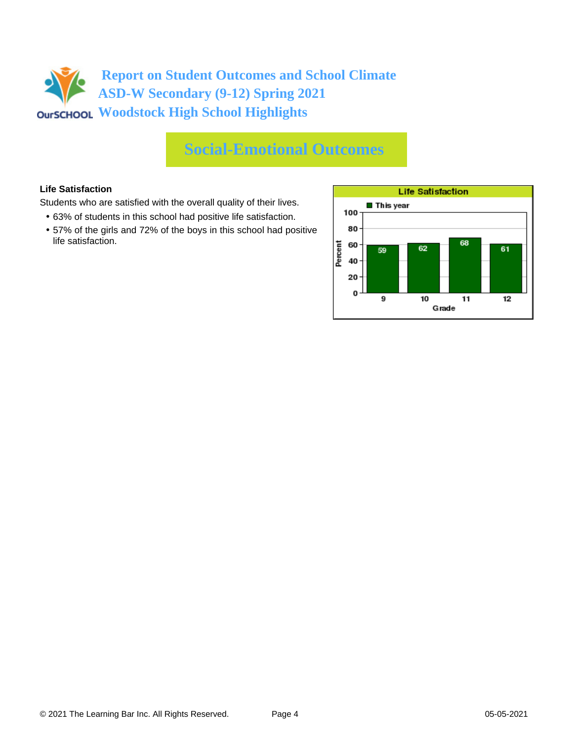## **Social-Emotional Outcomes**

### **Life Satisfaction**

Students who are satisfied with the overall quality of their lives.

- 63% of students in this school had positive life satisfaction.
- 57% of the girls and 72% of the boys in this school had positive life satisfaction.

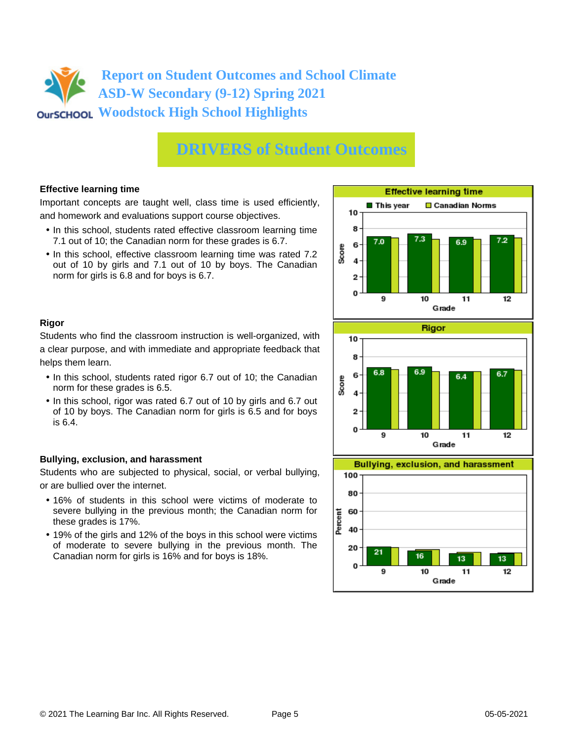## **DRIVERS of Student Outcomes**

### **Effective learning time**

Important concepts are taught well, class time is used efficiently, and homework and evaluations support course objectives.

- In this school, students rated effective classroom learning time 7.1 out of 10; the Canadian norm for these grades is 6.7.
- In this school, effective classroom learning time was rated 7.2 out of 10 by girls and 7.1 out of 10 by boys. The Canadian norm for girls is 6.8 and for boys is 6.7.



### **Rigor**

Students who find the classroom instruction is well-organized, with a clear purpose, and with immediate and appropriate feedback that helps them learn.

- In this school, students rated rigor 6.7 out of 10; the Canadian norm for these grades is 6.5.
- In this school, rigor was rated 6.7 out of 10 by girls and 6.7 out of 10 by boys. The Canadian norm for girls is 6.5 and for boys is 6.4.

### **Bullying, exclusion, and harassment**

Students who are subjected to physical, social, or verbal bullying, or are bullied over the internet.

- 16% of students in this school were victims of moderate to severe bullying in the previous month; the Canadian norm for these grades is 17%.
- 19% of the girls and 12% of the boys in this school were victims of moderate to severe bullying in the previous month. The Canadian norm for girls is 16% and for boys is 18%.



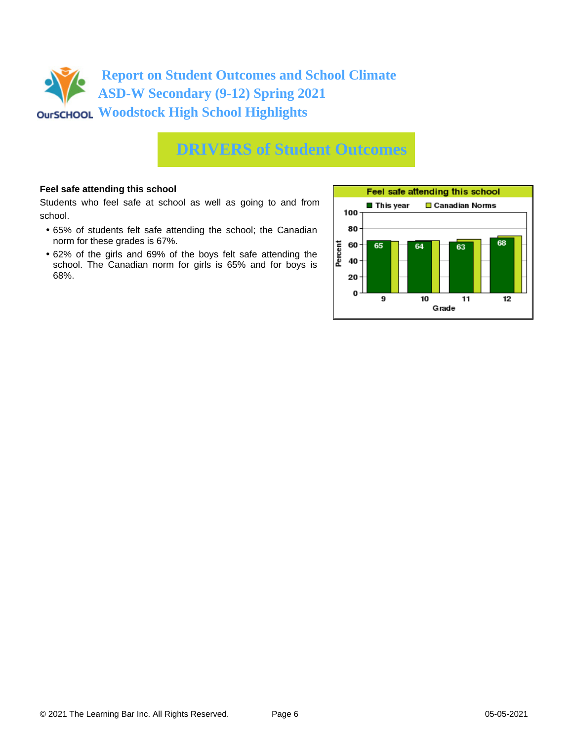

### **DRIVERS of Student Outcomes**

### **Feel safe attending this school**

Students who feel safe at school as well as going to and from school.

- 65% of students felt safe attending the school; the Canadian norm for these grades is 67%.
- 62% of the girls and 69% of the boys felt safe attending the school. The Canadian norm for girls is 65% and for boys is 68%.

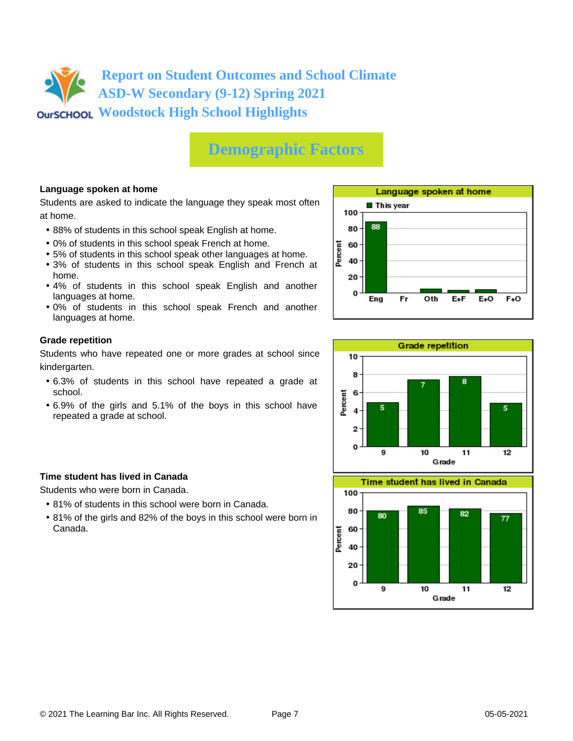

## **Demographic Factors**

### **Language spoken at home**

Students are asked to indicate the language they speak most often at home.

- 88% of students in this school speak English at home.
- 0% of students in this school speak French at home.
- 5% of students in this school speak other languages at home.
- 3% of students in this school speak English and French at home.
- 4% of students in this school speak English and another languages at home.
- 0% of students in this school speak French and another languages at home.

### **Grade repetition**

Students who have repeated one or more grades at school since kindergarten.

- 6.3% of students in this school have repeated a grade at school.
- 6.9% of the girls and 5.1% of the boys in this school have repeated a grade at school.

### **Time student has lived in Canada**

Students who were born in Canada.

- 81% of students in this school were born in Canada.
- 81% of the girls and 82% of the boys in this school were born in Canada.





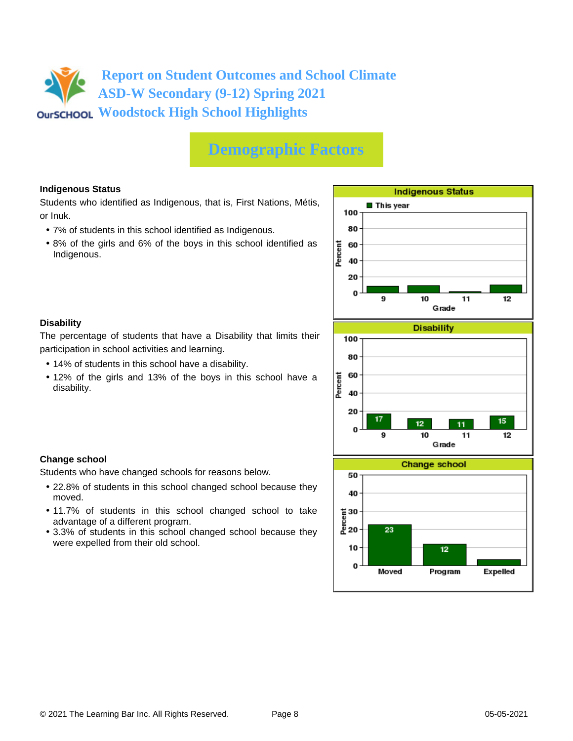## **Demographic Factors**

### **Indigenous Status**

Students who identified as Indigenous, that is, First Nations, Métis, or Inuk.

- 7% of students in this school identified as Indigenous.
- 8% of the girls and 6% of the boys in this school identified as Indigenous.



### The percentage of students that have a Disability that limits their participation in school activities and learning.

**Change school**

moved.

**Disability**

• 14% of students in this school have a disability.

Students who have changed schools for reasons below.

advantage of a different program.

were expelled from their old school.

• 12% of the girls and 13% of the boys in this school have a disability.

• 22.8% of students in this school changed school because they

• 11.7% of students in this school changed school to take

• 3.3% of students in this school changed school because they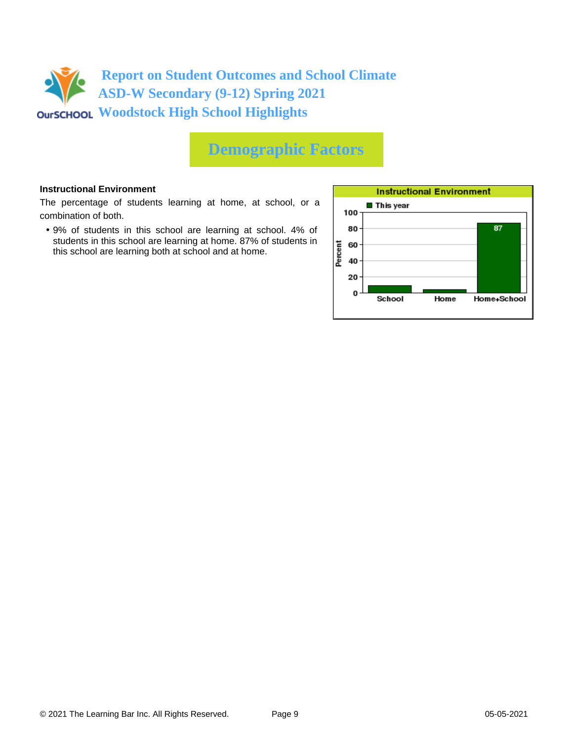

## **Demographic Factors**

### **Instructional Environment**

The percentage of students learning at home, at school, or a combination of both.

• 9% of students in this school are learning at school. 4% of students in this school are learning at home. 87% of students in this school are learning both at school and at home.

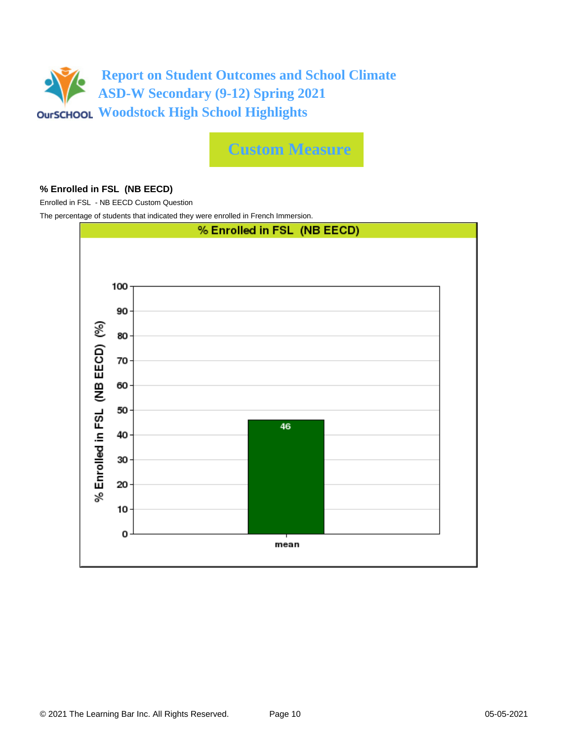

**Custom Measure**

### **% Enrolled in FSL (NB EECD)**

Enrolled in FSL - NB EECD Custom Question

The percentage of students that indicated they were enrolled in French Immersion.

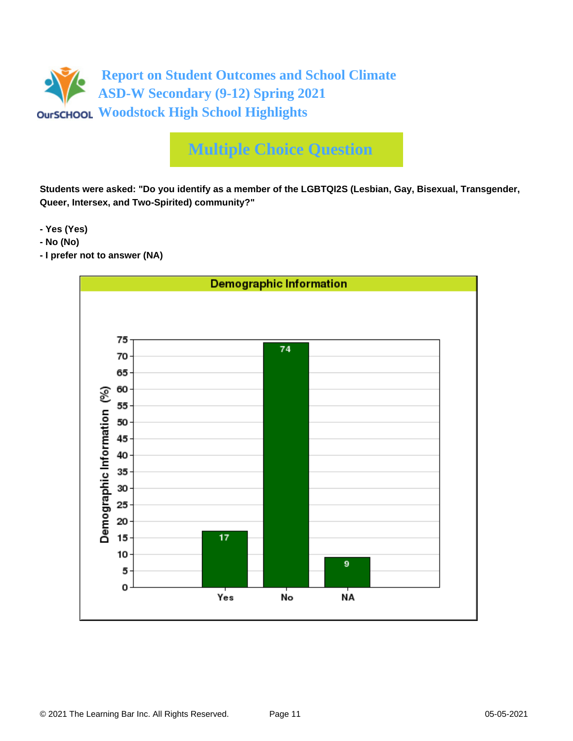

# **Multiple Choice Question**

**Students were asked: "Do you identify as a member of the LGBTQI2S (Lesbian, Gay, Bisexual, Transgender, Queer, Intersex, and Two-Spirited) community?"**

**- Yes (Yes)**

- **No (No)**
- **I prefer not to answer (NA)**

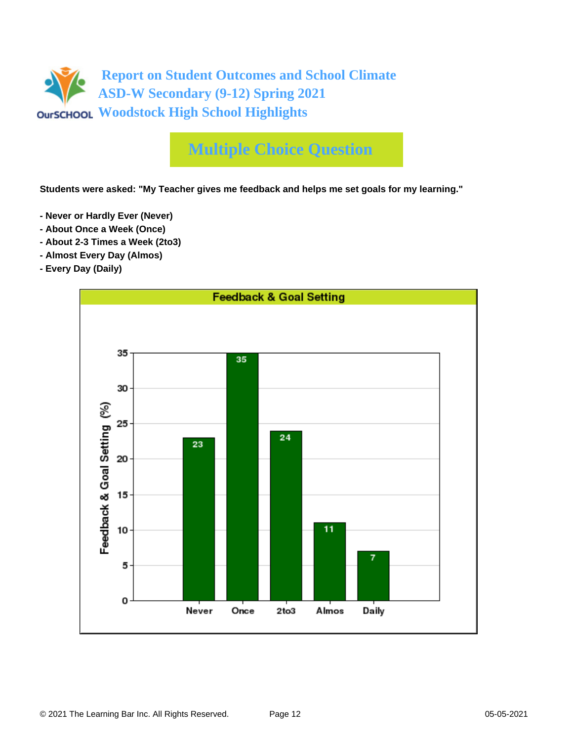

# **Multiple Choice Question**

**Students were asked: "My Teacher gives me feedback and helps me set goals for my learning."**

- **Never or Hardly Ever (Never)**
- **About Once a Week (Once)**
- **About 2-3 Times a Week (2to3)**
- **Almost Every Day (Almos)**
- **Every Day (Daily)**